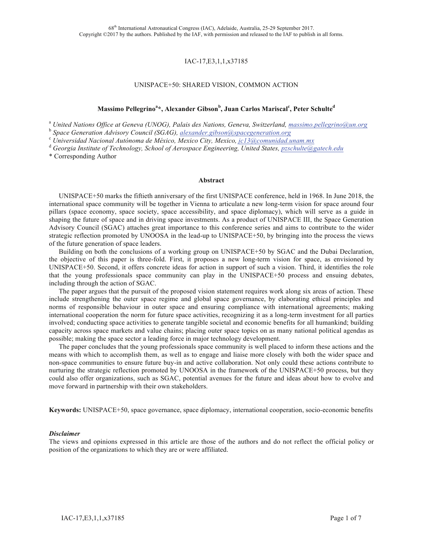# IAC-17,E3,1,1,x37185

#### UNISPACE+50: SHARED VISION, COMMON ACTION

# **Massimo Pellegrino<sup>a</sup> \*, Alexander Gibson<sup>b</sup> , Juan Carlos Mariscal<sup>c</sup> , Peter Schulte<sup>d</sup>**

<sup>a</sup> United Nations Office at Geneva (UNOG), Palais des Nations, Geneva, Switzerland, <u>massimo.pellegrino@un.org</u><br><sup>b</sup> Space Generation Advisory Council (SGAG), <u>alexander gibson@spacegeneration.org</u>

<sup>b</sup> *Space Generation Advisory Council (SGAG), alexander.gibson@spacegeneration.org* <sup>c</sup> *Universidad Nacional Autónoma de México, Mexico City, Mexico, jc13@comunidad.unam.mx*

<sup>d</sup> *Georgia Institute of Technology, School of Aerospace Engineering, United States, pzschulte@gatech.edu*

\* Corresponding Author

#### **Abstract**

UNISPACE+50 marks the fiftieth anniversary of the first UNISPACE conference, held in 1968. In June 2018, the international space community will be together in Vienna to articulate a new long-term vision for space around four pillars (space economy, space society, space accessibility, and space diplomacy), which will serve as a guide in shaping the future of space and in driving space investments. As a product of UNISPACE III, the Space Generation Advisory Council (SGAC) attaches great importance to this conference series and aims to contribute to the wider strategic reflection promoted by UNOOSA in the lead-up to UNISPACE+50, by bringing into the process the views of the future generation of space leaders.

Building on both the conclusions of a working group on UNISPACE+50 by SGAC and the Dubai Declaration, the objective of this paper is three-fold. First, it proposes a new long-term vision for space, as envisioned by UNISPACE+50. Second, it offers concrete ideas for action in support of such a vision. Third, it identifies the role that the young professionals space community can play in the UNISPACE+50 process and ensuing debates, including through the action of SGAC.

The paper argues that the pursuit of the proposed vision statement requires work along six areas of action. These include strengthening the outer space regime and global space governance, by elaborating ethical principles and norms of responsible behaviour in outer space and ensuring compliance with international agreements; making international cooperation the norm for future space activities, recognizing it as a long-term investment for all parties involved; conducting space activities to generate tangible societal and economic benefits for all humankind; building capacity across space markets and value chains; placing outer space topics on as many national political agendas as possible; making the space sector a leading force in major technology development.

The paper concludes that the young professionals space community is well placed to inform these actions and the means with which to accomplish them, as well as to engage and liaise more closely with both the wider space and non-space communities to ensure future buy-in and active collaboration. Not only could these actions contribute to nurturing the strategic reflection promoted by UNOOSA in the framework of the UNISPACE+50 process, but they could also offer organizations, such as SGAC, potential avenues for the future and ideas about how to evolve and move forward in partnership with their own stakeholders.

**Keywords:** UNISPACE+50, space governance, space diplomacy, international cooperation, socio-economic benefits

#### *Disclaimer*

The views and opinions expressed in this article are those of the authors and do not reflect the official policy or position of the organizations to which they are or were affiliated.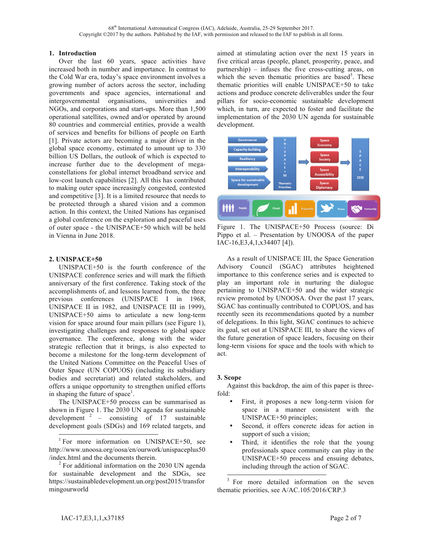## **1. Introduction**

Over the last 60 years, space activities have increased both in number and importance. In contrast to the Cold War era, today's space environment involves a growing number of actors across the sector, including governments and space agencies, international and intergovernmental organisations, universities and NGOs, and corporations and start-ups. More than 1,500 operational satellites, owned and/or operated by around 80 countries and commercial entities, provide a wealth of services and benefits for billions of people on Earth [1]. Private actors are becoming a major driver in the global space economy, estimated to amount up to 330 billion US Dollars, the outlook of which is expected to increase further due to the development of megaconstellations for global internet broadband service and low-cost launch capabilities [2]. All this has contributed to making outer space increasingly congested, contested and competitive [3]. It is a limited resource that needs to be protected through a shared vision and a common action. In this context, the United Nations has organised a global conference on the exploration and peaceful uses of outer space - the UNISPACE+50 which will be held in Vienna in June 2018.

#### **2. UNISPACE+50**

UNISPACE+50 is the fourth conference of the UNISPACE conference series and will mark the fiftieth anniversary of the first conference. Taking stock of the accomplishments of, and lessons learned from, the three previous conferences (UNISPACE I in 1968, UNISPACE II in 1982, and UNISPACE III in 1999), UNISPACE+50 aims to articulate a new long-term vision for space around four main pillars (see Figure 1), investigating challenges and responses to global space governance. The conference, along with the wider strategic reflection that it brings, is also expected to become a milestone for the long-term development of the United Nations Committee on the Peaceful Uses of Outer Space (UN COPUOS) (including its subsidiary bodies and secretariat) and related stakeholders, and offers a unique opportunity to strengthen unified efforts in shaping the future of space<sup>1</sup>.

The UNISPACE+50 process can be summarised as shown in Figure 1. The 2030 UN agenda for sustainable development  $2$  – consisting of 17 sustainable development goals (SDGs) and 169 related targets, and aimed at stimulating action over the next 15 years in five critical areas (people, planet, prosperity, peace, and partnership) – infuses the five cross-cutting areas, on which the seven thematic priorities are based<sup>3</sup>. These thematic priorities will enable UNISPACE+50 to take actions and produce concrete deliverables under the four pillars for socio-economic sustainable development which, in turn, are expected to foster and facilitate the implementation of the 2030 UN agenda for sustainable development.



Figure 1. The UNISPACE+50 Process (source: Di Pippo et al. – Presentation by UNOOSA of the paper IAC-16,E3,4,1,x34407 [4]).

As a result of UNISPACE III, the Space Generation Advisory Council (SGAC) attributes heightened importance to this conference series and is expected to play an important role in nurturing the dialogue pertaining to UNISPACE+50 and the wider strategic review promoted by UNOOSA. Over the past 17 years, SGAC has continually contributed to COPUOS, and has recently seen its recommendations quoted by a number of delegations. In this light, SGAC continues to achieve its goal, set out at UNISPACE III, to share the views of the future generation of space leaders, focusing on their long-term visions for space and the tools with which to act.

#### **3. Scope**

Against this backdrop, the aim of this paper is threefold:

- First, it proposes a new long-term vision for space in a manner consistent with the UNISPACE+50 principles;
- Second, it offers concrete ideas for action in support of such a vision;
- Third, it identifies the role that the young professionals space community can play in the UNISPACE+50 process and ensuing debates, including through the action of SGAC.

<sup>3</sup> For more detailed information on the seven thematic priorities, see A/AC.105/2016/CRP.3

<sup>&</sup>lt;sup>1</sup> For more information on UNISPACE+50, see http://www.unoosa.org/oosa/en/ourwork/unispaceplus50<br>/index.html and the documents therein.

 $^{2}$  For additional information on the 2030 UN agenda for sustainable development and the SDGs, see https://sustainabledevelopment.un.org/post2015/transfor mingourworld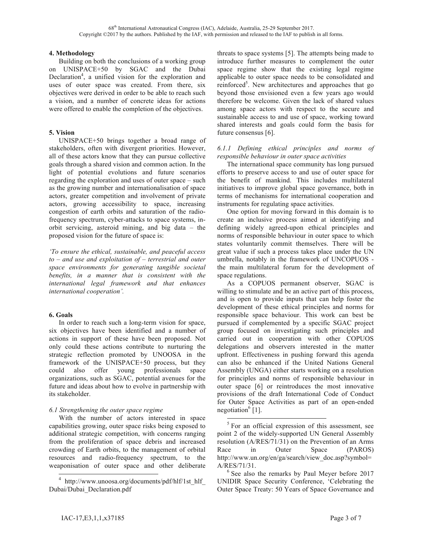#### **4. Methodology**

Building on both the conclusions of a working group on UNISPACE+50 by SGAC and the Dubai Declaration<sup>4</sup>, a unified vision for the exploration and uses of outer space was created. From there, six objectives were derived in order to be able to reach such a vision, and a number of concrete ideas for actions were offered to enable the completion of the objectives.

# **5. Vision**

UNISPACE+50 brings together a broad range of stakeholders, often with divergent priorities. However, all of these actors know that they can pursue collective goals through a shared vision and common action. In the light of potential evolutions and future scenarios regarding the exploration and uses of outer space – such as the growing number and internationalisation of space actors, greater competition and involvement of private actors, growing accessibility to space, increasing congestion of earth orbits and saturation of the radiofrequency spectrum, cyber-attacks to space systems, inorbit servicing, asteroid mining, and big data – the proposed vision for the future of space is:

*'To ensure the ethical, sustainable, and peaceful access to – and use and exploitation of – terrestrial and outer space environments for generating tangible societal benefits, in a manner that is consistent with the international legal framework and that enhances international cooperation'.*

## **6. Goals**

In order to reach such a long-term vision for space, six objectives have been identified and a number of actions in support of these have been proposed. Not only could these actions contribute to nurturing the strategic reflection promoted by UNOOSA in the framework of the UNISPACE+50 process, but they could also offer young professionals space organizations, such as SGAC, potential avenues for the future and ideas about how to evolve in partnership with its stakeholder.

# *6.1 Strengthening the outer space regime*

With the number of actors interested in space capabilities growing, outer space risks being exposed to additional strategic competition, with concerns ranging from the proliferation of space debris and increased crowding of Earth orbits, to the management of orbital resources and radio-frequency spectrum, to the weaponisation of outer space and other deliberate threats to space systems [5]. The attempts being made to introduce further measures to complement the outer space regime show that the existing legal regime applicable to outer space needs to be consolidated and reinforced<sup>5</sup>. New architectures and approaches that go beyond those envisioned even a few years ago would therefore be welcome. Given the lack of shared values among space actors with respect to the secure and sustainable access to and use of space, working toward shared interests and goals could form the basis for future consensus [6].

# *6.1.1 Defining ethical principles and norms of responsible behaviour in outer space activities*

The international space community has long pursued efforts to preserve access to and use of outer space for the benefit of mankind. This includes multilateral initiatives to improve global space governance, both in terms of mechanisms for international cooperation and instruments for regulating space activities.

One option for moving forward in this domain is to create an inclusive process aimed at identifying and defining widely agreed-upon ethical principles and norms of responsible behaviour in outer space to which states voluntarily commit themselves. There will be great value if such a process takes place under the UN umbrella, notably in the framework of UNCOPUOS the main multilateral forum for the development of space regulations.

As a COPUOS permanent observer, SGAC is willing to stimulate and be an active part of this process, and is open to provide inputs that can help foster the development of these ethical principles and norms for responsible space behaviour. This work can best be pursued if complemented by a specific SGAC project group focused on investigating such principles and carried out in cooperation with other COPUOS delegations and observers interested in the matter upfront. Effectiveness in pushing forward this agenda can also be enhanced if the United Nations General Assembly (UNGA) either starts working on a resolution for principles and norms of responsible behaviour in outer space [6] or reintroduces the most innovative provisions of the draft International Code of Conduct for Outer Space Activities as part of an open-ended negotiation $^{6}$  [1].

http://www.unoosa.org/documents/pdf/hlf/1st\_hlf Dubai/Dubai\_Declaration.pdf

 $5$  For an official expression of this assessment, see point 2 of the widely-supported UN General Assembly resolution (A/RES/71/31) on the Prevention of an Arms Race in Outer Space (PAROS) http://www.un.org/en/ga/search/view\_doc.asp?symbol=  $A/RES/71/31$ .<br><sup>6</sup> See also the remarks by Paul Meyer before 2017

UNIDIR Space Security Conference, 'Celebrating the Outer Space Treaty: 50 Years of Space Governance and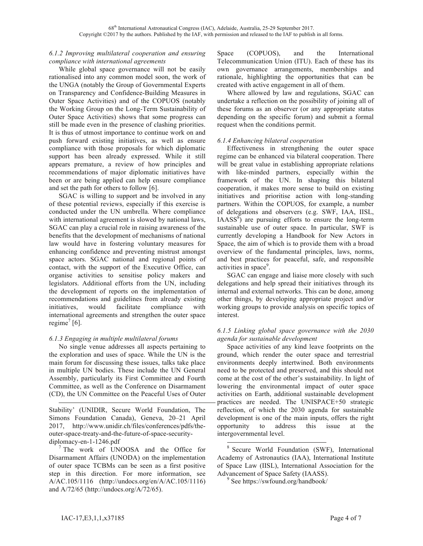# *6.1.2 Improving multilateral cooperation and ensuring compliance with international agreements*

While global space governance will not be easily rationalised into any common model soon, the work of the UNGA (notably the Group of Governmental Experts on Transparency and Confidence-Building Measures in Outer Space Activities) and of the COPUOS (notably the Working Group on the Long-Term Sustainability of Outer Space Activities) shows that some progress can still be made even in the presence of clashing priorities. It is thus of utmost importance to continue work on and push forward existing initiatives, as well as ensure compliance with those proposals for which diplomatic support has been already expressed. While it still appears premature, a review of how principles and recommendations of major diplomatic initiatives have been or are being applied can help ensure compliance and set the path for others to follow [6].

SGAC is willing to support and be involved in any of these potential reviews, especially if this exercise is conducted under the UN umbrella. Where compliance with international agreement is slowed by national laws, SGAC can play a crucial role in raising awareness of the benefits that the development of mechanisms of national law would have in fostering voluntary measures for enhancing confidence and preventing mistrust amongst space actors. SGAC national and regional points of contact, with the support of the Executive Office, can organise activities to sensitise policy makers and legislators. Additional efforts from the UN, including the development of reports on the implementation of recommendations and guidelines from already existing initiatives, would facilitate compliance with international agreements and strengthen the outer space regime<sup>7</sup> [6].

## *6.1.3 Engaging in multiple multilateral forums*

No single venue addresses all aspects pertaining to the exploration and uses of space. While the UN is the main forum for discussing these issues, talks take place in multiple UN bodies. These include the UN General Assembly, particularly its First Committee and Fourth Committee, as well as the Conference on Disarmament (CD), the UN Committee on the Peaceful Uses of Outer

-Stability' (UNIDIR, Secure World Foundation, The Simons Foundation Canada), Geneva, 20–21 April 2017, http://www.unidir.ch/files/conferences/pdfs/theouter-space-treaty-and-the-future-of-space-security-

diplomacy-en-1-1246.pdf<br><sup>7</sup> The work of UNOOSA and the Office for Disarmament Affairs (UNODA) on the implementation of outer space TCBMs can be seen as a first positive step in this direction. For more information, see A/AC.105/1116 (http://undocs.org/en/A/AC.105/1116) and A/72/65 (http://undocs.org/A/72/65).

Space (COPUOS), and the International Telecommunication Union (ITU). Each of these has its own governance arrangements, memberships and rationale, highlighting the opportunities that can be created with active engagement in all of them.

Where allowed by law and regulations, SGAC can undertake a reflection on the possibility of joining all of these forums as an observer (or any appropriate status depending on the specific forum) and submit a formal request when the conditions permit.

# *6.1.4 Enhancing bilateral cooperation*

Effectiveness in strengthening the outer space regime can be enhanced via bilateral cooperation. There will be great value in establishing appropriate relations with like-minded partners, especially within the framework of the UN. In shaping this bilateral cooperation, it makes more sense to build on existing initiatives and prioritise action with long-standing partners. Within the COPUOS, for example, a number of delegations and observers (e.g. SWF, IAA, IISL,  $IAASS<sup>8</sup>$  are pursuing efforts to ensure the long-term sustainable use of outer space. In particular, SWF is currently developing a Handbook for New Actors in Space, the aim of which is to provide them with a broad overview of the fundamental principles, laws, norms, and best practices for peaceful, safe, and responsible activities in space<sup>9</sup>.

SGAC can engage and liaise more closely with such delegations and help spread their initiatives through its internal and external networks. This can be done, among other things, by developing appropriate project and/or working groups to provide analysis on specific topics of interest.

## *6.1.5 Linking global space governance with the 2030 agenda for sustainable development*

Space activities of any kind leave footprints on the ground, which render the outer space and terrestrial environments deeply intertwined. Both environments need to be protected and preserved, and this should not come at the cost of the other's sustainability. In light of lowering the environmental impact of outer space activities on Earth, additional sustainable development practices are needed. The UNISPACE+50 strategic reflection, of which the 2030 agenda for sustainable development is one of the main inputs, offers the right opportunity to address this issue at the intergovernmental level.

Secure World Foundation (SWF), International Academy of Astronautics (IAA), International Institute of Space Law (IISL), International Association for the Advancement of Space Safety (IAASS).<br><sup>9</sup> See https://swfound.org/handbook/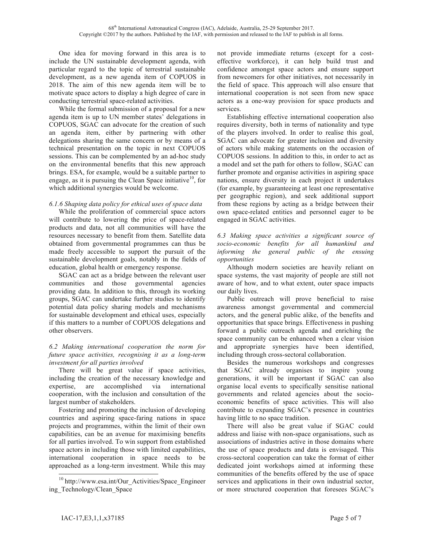One idea for moving forward in this area is to include the UN sustainable development agenda, with particular regard to the topic of terrestrial sustainable development, as a new agenda item of COPUOS in 2018. The aim of this new agenda item will be to motivate space actors to display a high degree of care in conducting terrestrial space-related activities.

While the formal submission of a proposal for a new agenda item is up to UN member states' delegations in COPUOS, SGAC can advocate for the creation of such an agenda item, either by partnering with other delegations sharing the same concern or by means of a technical presentation on the topic in next COPUOS sessions. This can be complemented by an ad-hoc study on the environmental benefits that this new approach brings. ESA, for example, would be a suitable partner to engage, as it is pursuing the Clean Space initiative<sup>10</sup>, for which additional synergies would be welcome.

## *6.1.6 Shaping data policy for ethical uses of space data*

While the proliferation of commercial space actors will contribute to lowering the price of space-related products and data, not all communities will have the resources necessary to benefit from them. Satellite data obtained from governmental programmes can thus be made freely accessible to support the pursuit of the sustainable development goals, notably in the fields of education, global health or emergency response.

SGAC can act as a bridge between the relevant user communities and those governmental agencies providing data. In addition to this, through its working groups, SGAC can undertake further studies to identify potential data policy sharing models and mechanisms for sustainable development and ethical uses, especially if this matters to a number of COPUOS delegations and other observers.

#### *6.2 Making international cooperation the norm for future space activities, recognising it as a long-term investment for all parties involved*

There will be great value if space activities, including the creation of the necessary knowledge and expertise, are accomplished via international cooperation, with the inclusion and consultation of the largest number of stakeholders.

Fostering and promoting the inclusion of developing countries and aspiring space-faring nations in space projects and programmes, within the limit of their own capabilities, can be an avenue for maximising benefits for all parties involved. To win support from established space actors in including those with limited capabilities, international cooperation in space needs to be approached as a long-term investment. While this may

not provide immediate returns (except for a costeffective workforce), it can help build trust and confidence amongst space actors and ensure support from newcomers for other initiatives, not necessarily in the field of space. This approach will also ensure that international cooperation is not seen from new space actors as a one-way provision for space products and services.

Establishing effective international cooperation also requires diversity, both in terms of nationality and type of the players involved. In order to realise this goal, SGAC can advocate for greater inclusion and diversity of actors while making statements on the occasion of COPUOS sessions. In addition to this, in order to act as a model and set the path for others to follow, SGAC can further promote and organise activities in aspiring space nations, ensure diversity in each project it undertakes (for example, by guaranteeing at least one representative per geographic region), and seek additional support from these regions by acting as a bridge between their own space-related entities and personnel eager to be engaged in SGAC activities.

*6.3 Making space activities a significant source of socio-economic benefits for all humankind and informing the general public of the ensuing opportunities*

Although modern societies are heavily reliant on space systems, the vast majority of people are still not aware of how, and to what extent, outer space impacts our daily lives.

Public outreach will prove beneficial to raise awareness amongst governmental and commercial actors, and the general public alike, of the benefits and opportunities that space brings. Effectiveness in pushing forward a public outreach agenda and enriching the space community can be enhanced when a clear vision and appropriate synergies have been identified, including through cross-sectoral collaboration.

Besides the numerous workshops and congresses that SGAC already organises to inspire young generations, it will be important if SGAC can also organise local events to specifically sensitise national governments and related agencies about the socioeconomic benefits of space activities. This will also contribute to expanding SGAC's presence in countries having little to no space tradition.

There will also be great value if SGAC could address and liaise with non-space organisations, such as associations of industries active in those domains where the use of space products and data is envisaged. This cross-sectoral cooperation can take the format of either dedicated joint workshops aimed at informing these communities of the benefits offered by the use of space services and applications in their own industrial sector, or more structured cooperation that foresees SGAC's

 <sup>10</sup> http://www.esa.int/Our\_Activities/Space\_Engineer ing\_Technology/Clean\_Space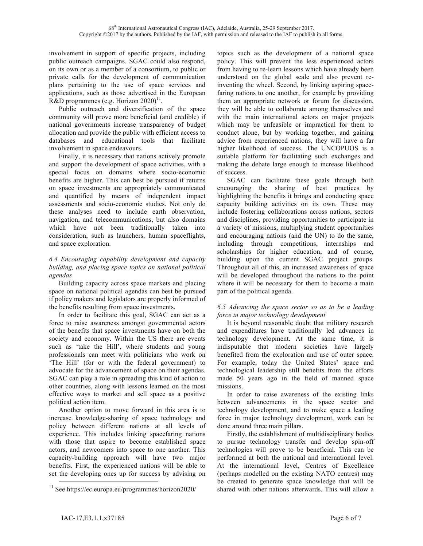involvement in support of specific projects, including public outreach campaigns. SGAC could also respond, on its own or as a member of a consortium, to public or private calls for the development of communication plans pertaining to the use of space services and applications, such as those advertised in the European R&D programmes (e.g. Horizon  $2020$ )<sup>11</sup>.

Public outreach and diversification of the space community will prove more beneficial (and credible) if national governments increase transparency of budget allocation and provide the public with efficient access to databases and educational tools that facilitate involvement in space endeavours.

Finally, it is necessary that nations actively promote and support the development of space activities, with a special focus on domains where socio-economic benefits are higher. This can best be pursued if returns on space investments are appropriately communicated and quantified by means of independent impact assessments and socio-economic studies. Not only do these analyses need to include earth observation, navigation, and telecommunications, but also domains which have not been traditionally taken into consideration, such as launchers, human spaceflights, and space exploration.

## *6.4 Encouraging capability development and capacity building, and placing space topics on national political agendas*

Building capacity across space markets and placing space on national political agendas can best be pursued if policy makers and legislators are properly informed of the benefits resulting from space investments.

In order to facilitate this goal, SGAC can act as a force to raise awareness amongst governmental actors of the benefits that space investments have on both the society and economy. Within the US there are events such as 'take the Hill', where students and young professionals can meet with politicians who work on 'The Hill' (for or with the federal government) to advocate for the advancement of space on their agendas. SGAC can play a role in spreading this kind of action to other countries, along with lessons learned on the most effective ways to market and sell space as a positive political action item.

Another option to move forward in this area is to increase knowledge-sharing of space technology and policy between different nations at all levels of experience. This includes linking spacefaring nations with those that aspire to become established space actors, and newcomers into space to one another. This capacity-building approach will have two major benefits. First, the experienced nations will be able to set the developing ones up for success by advising on

topics such as the development of a national space policy. This will prevent the less experienced actors from having to re-learn lessons which have already been understood on the global scale and also prevent reinventing the wheel. Second, by linking aspiring spacefaring nations to one another, for example by providing them an appropriate network or forum for discussion, they will be able to collaborate among themselves and with the main international actors on major projects which may be unfeasible or impractical for them to conduct alone, but by working together, and gaining advice from experienced nations, they will have a far higher likelihood of success. The UNCOPUOS is a suitable platform for facilitating such exchanges and making the debate large enough to increase likelihood of success.

SGAC can facilitate these goals through both encouraging the sharing of best practices by highlighting the benefits it brings and conducting space capacity building activities on its own. These may include fostering collaborations across nations, sectors and disciplines, providing opportunities to participate in a variety of missions, multiplying student opportunities and encouraging nations (and the UN) to do the same, including through competitions, internships and scholarships for higher education, and of course, building upon the current SGAC project groups. Throughout all of this, an increased awareness of space will be developed throughout the nations to the point where it will be necessary for them to become a main part of the political agenda.

## *6.5 Advancing the space sector so as to be a leading force in major technology development*

It is beyond reasonable doubt that military research and expenditures have traditionally led advances in technology development. At the same time, it is indisputable that modern societies have largely benefited from the exploration and use of outer space. For example, today the United States' space and technological leadership still benefits from the efforts made 50 years ago in the field of manned space missions.

In order to raise awareness of the existing links between advancements in the space sector and technology development, and to make space a leading force in major technology development, work can be done around three main pillars.

Firstly, the establishment of multidisciplinary bodies to pursue technology transfer and develop spin-off technologies will prove to be beneficial. This can be performed at both the national and international level. At the international level, Centres of Excellence (perhaps modelled on the existing NATO centres) may be created to generate space knowledge that will be shared with other nations afterwards. This will allow a

<sup>&</sup>lt;sup>11</sup> See https://ec.europa.eu/programmes/horizon2020/